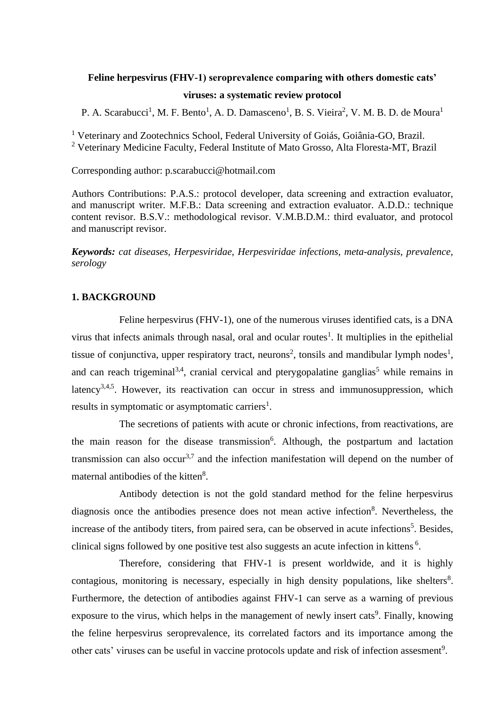# **Feline herpesvirus (FHV-1) seroprevalence comparing with others domestic cats' viruses: a systematic review protocol**

P. A. Scarabucci<sup>1</sup>, M. F. Bento<sup>1</sup>, A. D. Damasceno<sup>1</sup>, B. S. Vieira<sup>2</sup>, V. M. B. D. de Moura<sup>1</sup>

<sup>1</sup> Veterinary and Zootechnics School, Federal University of Goiás, Goiânia-GO, Brazil. <sup>2</sup> Veterinary Medicine Faculty, Federal Institute of Mato Grosso, Alta Floresta-MT, Brazil

Corresponding author: p.scarabucci@hotmail.com

Authors Contributions: P.A.S.: protocol developer, data screening and extraction evaluator, and manuscript writer. M.F.B.: Data screening and extraction evaluator. A.D.D.: technique content revisor. B.S.V.: methodological revisor. V.M.B.D.M.: third evaluator, and protocol and manuscript revisor.

*Keywords: cat diseases, Herpesviridae, Herpesviridae infections, meta-analysis, prevalence, serology*

#### **1. BACKGROUND**

Feline herpesvirus (FHV-1), one of the numerous viruses identified cats, is a DNA virus that infects animals through nasal, oral and ocular routes<sup>1</sup>. It multiplies in the epithelial tissue of conjunctiva, upper respiratory tract, neurons<sup>2</sup>, tonsils and mandibular lymph nodes<sup>1</sup>, and can reach trigeminal<sup>3,4</sup>, cranial cervical and pterygopalatine ganglias<sup>5</sup> while remains in latency<sup>3,4,5</sup>. However, its reactivation can occur in stress and immunosuppression, which results in symptomatic or asymptomatic carriers<sup>1</sup>.

The secretions of patients with acute or chronic infections, from reactivations, are the main reason for the disease transmission<sup>6</sup>. Although, the postpartum and lactation transmission can also occur<sup>3,7</sup> and the infection manifestation will depend on the number of maternal antibodies of the kitten<sup>8</sup>.

Antibody detection is not the gold standard method for the feline herpesvirus diagnosis once the antibodies presence does not mean active infection<sup>8</sup>. Nevertheless, the increase of the antibody titers, from paired sera, can be observed in acute infections<sup>5</sup>. Besides, clinical signs followed by one positive test also suggests an acute infection in kittens<sup>6</sup>.

Therefore, considering that FHV-1 is present worldwide, and it is highly contagious, monitoring is necessary, especially in high density populations, like shelters $8$ . Furthermore, the detection of antibodies against FHV-1 can serve as a warning of previous exposure to the virus, which helps in the management of newly insert cats<sup>9</sup>. Finally, knowing the feline herpesvirus seroprevalence, its correlated factors and its importance among the other cats' viruses can be useful in vaccine protocols update and risk of infection assesment<sup>9</sup>.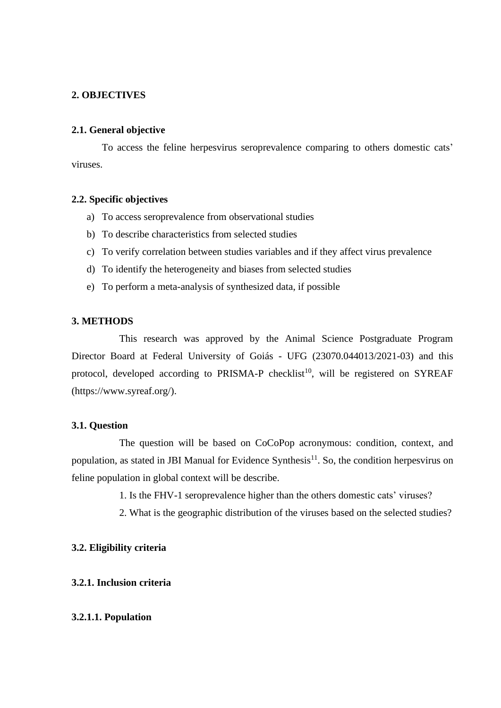# **2. OBJECTIVES**

## **2.1. General objective**

To access the feline herpesvirus seroprevalence comparing to others domestic cats' viruses.

# **2.2. Specific objectives**

- a) To access seroprevalence from observational studies
- b) To describe characteristics from selected studies
- c) To verify correlation between studies variables and if they affect virus prevalence
- d) To identify the heterogeneity and biases from selected studies
- e) To perform a meta-analysis of synthesized data, if possible

### **3. METHODS**

This research was approved by the Animal Science Postgraduate Program Director Board at Federal University of Goiás - UFG (23070.044013/2021-03) and this protocol, developed according to PRISMA-P checklist<sup>10</sup>, will be registered on SYREAF (https://www.syreaf.org/).

## **3.1. Question**

The question will be based on CoCoPop acronymous: condition, context, and population, as stated in JBI Manual for Evidence Synthesis<sup>11</sup>. So, the condition herpesvirus on feline population in global context will be describe.

1. Is the FHV-1 seroprevalence higher than the others domestic cats' viruses?

2. What is the geographic distribution of the viruses based on the selected studies?

## **3.2. Eligibility criteria**

### **3.2.1. Inclusion criteria**

### **3.2.1.1. Population**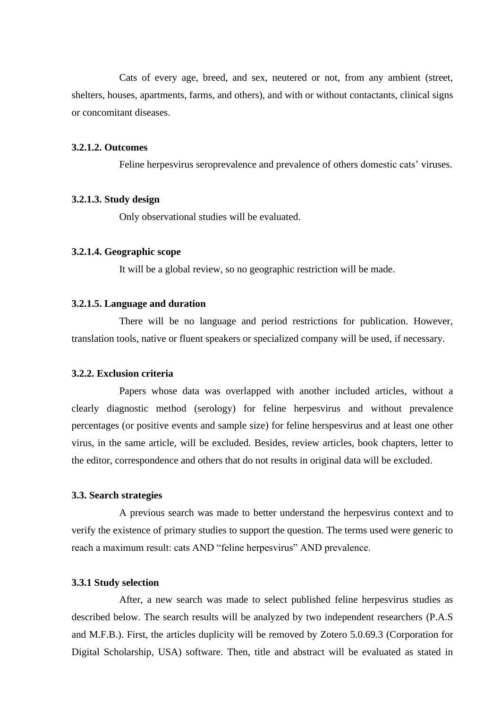Cats of every age, breed, and sex, neutered or not, from any ambient (street, shelters, houses, apartments, farms, and others), and with or without contactants, clinical signs or concomitant diseases.

#### **3.2.1.2. Outcomes**

Feline herpesvirus seroprevalence and prevalence of others domestic cats' viruses.

### **3.2.1.3. Study design**

Only observational studies will be evaluated.

#### **3.2.1.4. Geographic scope**

It will be a global review, so no geographic restriction will be made.

#### **3.2.1.5. Language and duration**

There will be no language and period restrictions for publication. However, translation tools, native or fluent speakers or specialized company will be used, if necessary.

## **3.2.2. Exclusion criteria**

Papers whose data was overlapped with another included articles, without a clearly diagnostic method (serology) for feline herpesvirus and without prevalence percentages (or positive events and sample size) for feline herspesvirus and at least one other virus, in the same article, will be excluded. Besides, review articles, book chapters, letter to the editor, correspondence and others that do not results in original data will be excluded.

#### **3.3. Search strategies**

A previous search was made to better understand the herpesvirus context and to verify the existence of primary studies to support the question. The terms used were generic to reach a maximum result: cats AND "feline herpesvirus" AND prevalence.

### **3.3.1 Study selection**

After, a new search was made to select published feline herpesvirus studies as described below. The search results will be analyzed by two independent researchers (P.A.S and M.F.B.). First, the articles duplicity will be removed by Zotero 5.0.69.3 (Corporation for Digital Scholarship, USA) software. Then, title and abstract will be evaluated as stated in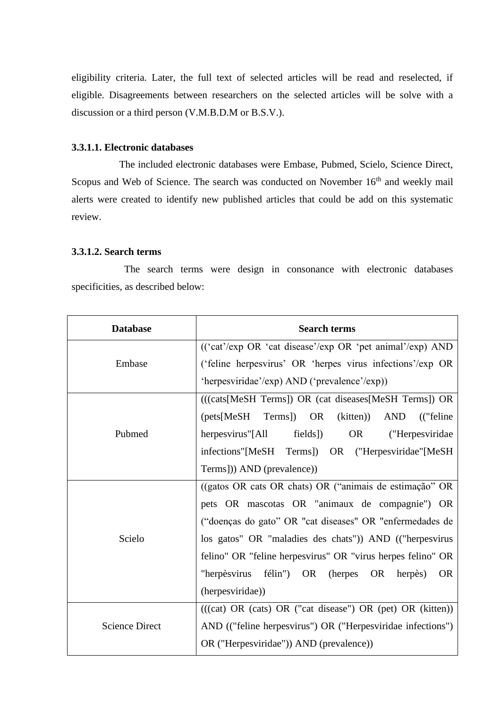eligibility criteria. Later, the full text of selected articles will be read and reselected, if eligible. Disagreements between researchers on the selected articles will be solve with a discussion or a third person (V.M.B.D.M or B.S.V.).

# **3.3.1.1. Electronic databases**

The included electronic databases were Embase, Pubmed, Scielo, Science Direct, Scopus and Web of Science. The search was conducted on November 16<sup>th</sup> and weekly mail alerts were created to identify new published articles that could be add on this systematic review.

# **3.3.1.2. Search terms**

 The search terms were design in consonance with electronic databases specificities, as described below:

| <b>Database</b>       | <b>Search terms</b>                                                       |  |
|-----------------------|---------------------------------------------------------------------------|--|
|                       | (('cat'/exp OR 'cat disease'/exp OR 'pet animal'/exp) AND                 |  |
| Embase                | ('feline herpesvirus' OR 'herpes virus infections'/exp OR                 |  |
|                       | 'herpesviridae'/exp) AND ('prevalence'/exp))                              |  |
| Pubmed                | (((cats[MeSH Terms]) OR (cat diseases[MeSH Terms]) OR                     |  |
|                       | ${\rm (pets[MeSH]}$<br>Terms) OR<br>(kitten))<br><b>AND</b><br>("feline") |  |
|                       | herpesvirus"[All<br>fields])<br>OR DR<br>("Herpesviridae                  |  |
|                       | infections"[MeSH Terms]) OR ("Herpesviridae"[MeSH                         |  |
|                       | Terms])) AND (prevalence))                                                |  |
| Scielo                | ((gatos OR cats OR chats) OR ("animais de estimação" OR                   |  |
|                       | pets OR mascotas OR "animaux de compagnie") OR                            |  |
|                       | ("doenças do gato" OR "cat diseases" OR "enfermedades de                  |  |
|                       | los gatos" OR "maladies des chats")) AND (("herpesvirus                   |  |
|                       | felino" OR "feline herpesvirus" OR "virus herpes felino" OR               |  |
|                       | "herpèsvirus félin") OR<br>OR herpès)<br>(herpes)<br><b>OR</b>            |  |
|                       | (herpesviridae))                                                          |  |
| <b>Science Direct</b> | $(((cat) OR (cats) OR ("cat disease") OR (pet) OR (kitten))$              |  |
|                       | AND (("feline herpesvirus") OR ("Herpesviridae infections")               |  |
|                       | OR ("Herpesviridae")) AND (prevalence))                                   |  |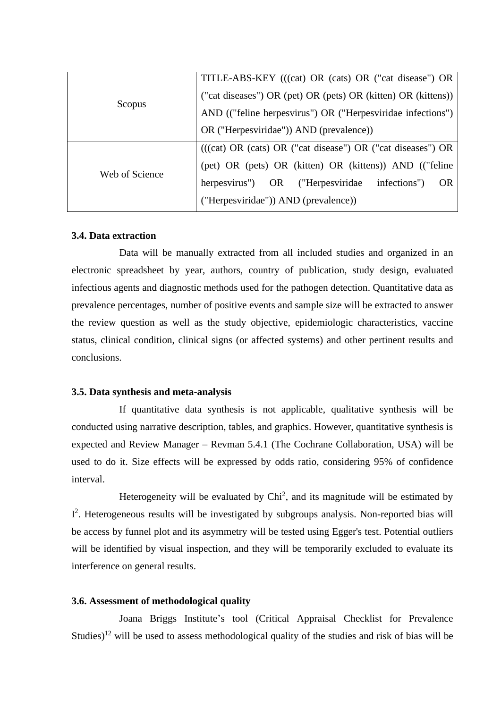| Scopus         | TITLE-ABS-KEY (((cat) OR (cats) OR ("cat disease") OR         |
|----------------|---------------------------------------------------------------|
|                | ("cat diseases") OR (pet) OR (pets) OR (kitten) OR (kittens)) |
|                | AND (("feline herpesvirus") OR ("Herpesviridae infections")   |
|                | OR ("Herpesviridae")) AND (prevalence))                       |
| Web of Science | $(((cat) OR (cats) OR ("cat disease") OR ("cat disease") OR$  |
|                | (pet) OR (pets) OR (kitten) OR (kittens)) AND (("feline       |
|                | herpesvirus") OR ("Herpesviridae infections")<br>- OR         |
|                | ("Herpesviridae")) AND (prevalence))                          |

# **3.4. Data extraction**

Data will be manually extracted from all included studies and organized in an electronic spreadsheet by year, authors, country of publication, study design, evaluated infectious agents and diagnostic methods used for the pathogen detection. Quantitative data as prevalence percentages, number of positive events and sample size will be extracted to answer the review question as well as the study objective, epidemiologic characteristics, vaccine status, clinical condition, clinical signs (or affected systems) and other pertinent results and conclusions.

### **3.5. Data synthesis and meta-analysis**

If quantitative data synthesis is not applicable, qualitative synthesis will be conducted using narrative description, tables, and graphics. However, quantitative synthesis is expected and Review Manager – Revman 5.4.1 (The Cochrane Collaboration, USA) will be used to do it. Size effects will be expressed by odds ratio, considering 95% of confidence interval.

Heterogeneity will be evaluated by  $Chi<sup>2</sup>$ , and its magnitude will be estimated by I<sup>2</sup>. Heterogeneous results will be investigated by subgroups analysis. Non-reported bias will be access by funnel plot and its asymmetry will be tested using Egger's test. Potential outliers will be identified by visual inspection, and they will be temporarily excluded to evaluate its interference on general results.

# **3.6. Assessment of methodological quality**

Joana Briggs Institute's tool (Critical Appraisal Checklist for Prevalence Studies)<sup>12</sup> will be used to assess methodological quality of the studies and risk of bias will be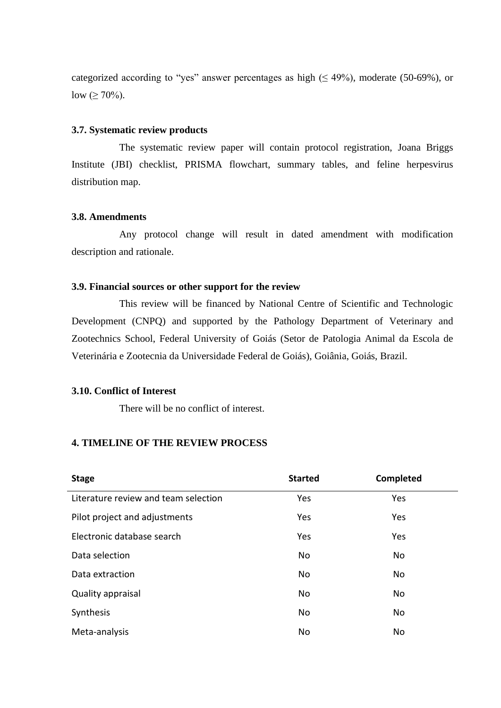categorized according to "yes" answer percentages as high  $(≤ 49%)$ , moderate (50-69%), or low ( $\geq 70\%$ ).

### **3.7. Systematic review products**

The systematic review paper will contain protocol registration, Joana Briggs Institute (JBI) checklist, PRISMA flowchart, summary tables, and feline herpesvirus distribution map.

# **3.8. Amendments**

Any protocol change will result in dated amendment with modification description and rationale.

# **3.9. Financial sources or other support for the review**

This review will be financed by National Centre of Scientific and Technologic Development (CNPQ) and supported by the Pathology Department of Veterinary and Zootechnics School, Federal University of Goiás (Setor de Patologia Animal da Escola de Veterinária e Zootecnia da Universidade Federal de Goiás), Goiânia, Goiás, Brazil.

## **3.10. Conflict of Interest**

There will be no conflict of interest.

# **4. TIMELINE OF THE REVIEW PROCESS**

| <b>Stage</b>                         | <b>Started</b> | Completed |
|--------------------------------------|----------------|-----------|
| Literature review and team selection | Yes            | Yes       |
| Pilot project and adjustments        | Yes            | Yes       |
| Electronic database search           | Yes            | Yes       |
| Data selection                       | <b>No</b>      | No        |
| Data extraction                      | No             | <b>No</b> |
| Quality appraisal                    | No             | No        |
| Synthesis                            | No             | <b>No</b> |
| Meta-analysis                        | No             | <b>No</b> |